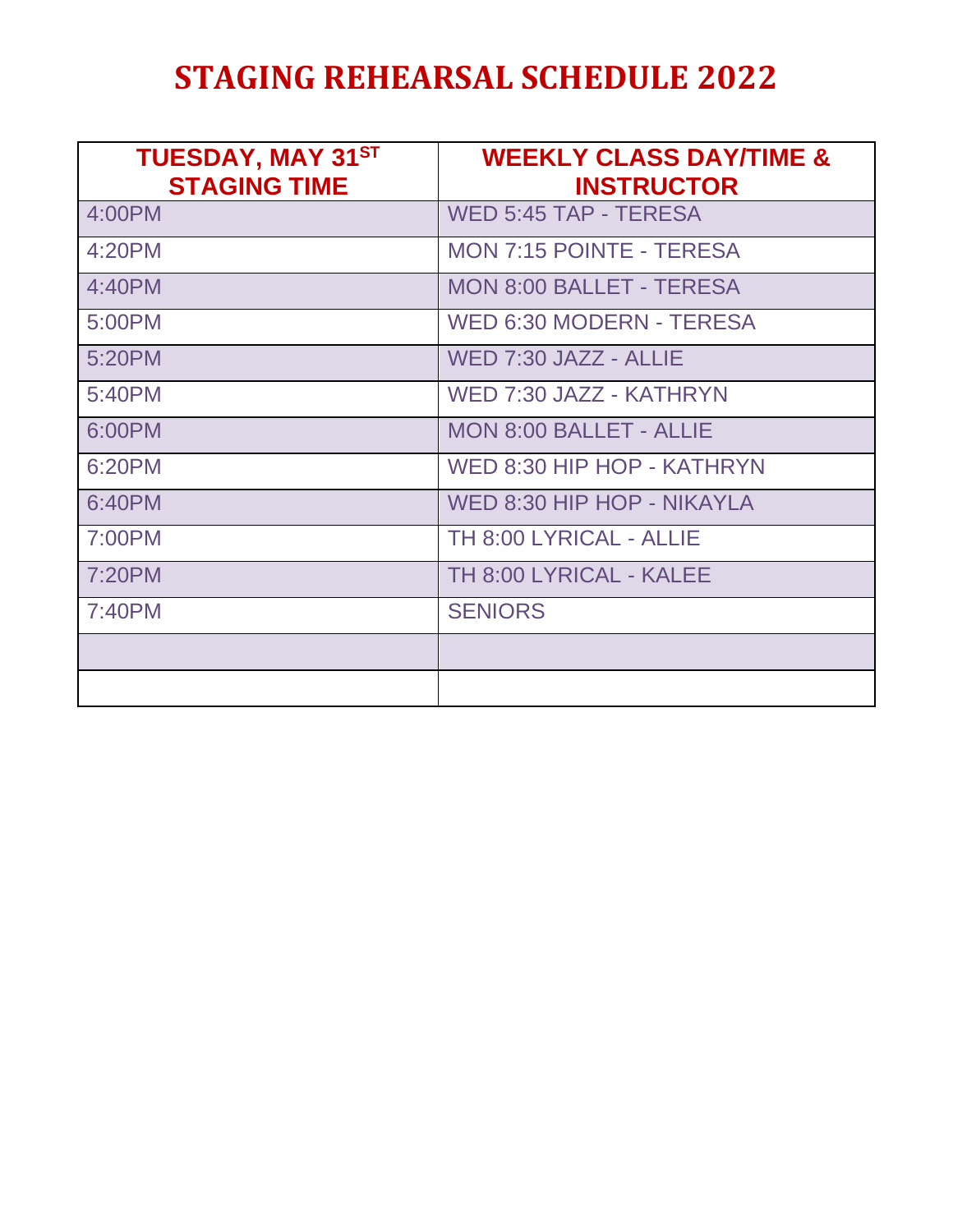## **STAGING REHEARSAL SCHEDULE 2022**

| <b>TUESDAY, MAY 31ST</b><br><b>STAGING TIME</b> | <b>WEEKLY CLASS DAY/TIME &amp;</b><br><b>INSTRUCTOR</b> |
|-------------------------------------------------|---------------------------------------------------------|
| 4:00PM                                          | <b>WED 5:45 TAP - TERESA</b>                            |
| 4:20PM                                          | <b>MON 7:15 POINTE - TERESA</b>                         |
| 4:40PM                                          | <b>MON 8:00 BALLET - TERESA</b>                         |
| 5:00PM                                          | <b>WED 6:30 MODERN - TERESA</b>                         |
| 5:20PM                                          | WED 7:30 JAZZ - ALLIE                                   |
| 5:40PM                                          | WED 7:30 JAZZ - KATHRYN                                 |
| 6:00PM                                          | <b>MON 8:00 BALLET - ALLIE</b>                          |
| 6:20PM                                          | WED 8:30 HIP HOP - KATHRYN                              |
| 6:40PM                                          | WED 8:30 HIP HOP - NIKAYLA                              |
| 7:00PM                                          | TH 8:00 LYRICAL - ALLIE                                 |
| 7:20PM                                          | TH 8:00 LYRICAL - KALEE                                 |
| 7:40PM                                          | <b>SENIORS</b>                                          |
|                                                 |                                                         |
|                                                 |                                                         |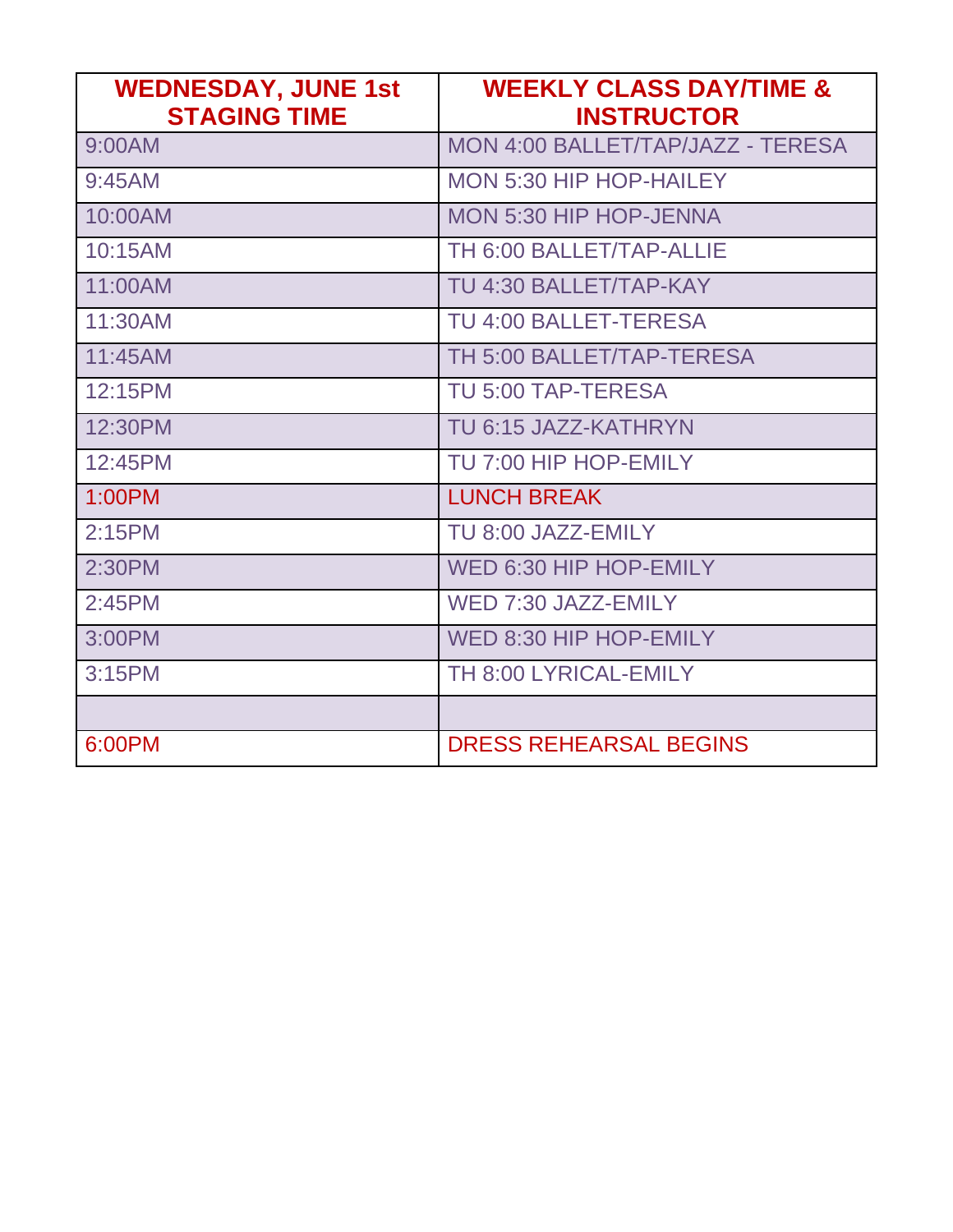| <b>WEDNESDAY, JUNE 1st</b><br><b>STAGING TIME</b> | <b>WEEKLY CLASS DAY/TIME &amp;</b><br><b>INSTRUCTOR</b> |
|---------------------------------------------------|---------------------------------------------------------|
| 9:00AM                                            | MON 4:00 BALLET/TAP/JAZZ - TERESA                       |
| 9:45AM                                            | MON 5:30 HIP HOP-HAILEY                                 |
| 10:00AM                                           | <b>MON 5:30 HIP HOP-JENNA</b>                           |
| 10:15AM                                           | TH 6:00 BALLET/TAP-ALLIE                                |
| 11:00AM                                           | TU 4:30 BALLET/TAP-KAY                                  |
| 11:30AM                                           | <b>TU 4:00 BALLET-TERESA</b>                            |
| 11:45AM                                           | TH 5:00 BALLET/TAP-TERESA                               |
| 12:15PM                                           | TU 5:00 TAP-TERESA                                      |
| 12:30PM                                           | TU 6:15 JAZZ-KATHRYN                                    |
| 12:45PM                                           | TU 7:00 HIP HOP-EMILY                                   |
| 1:00PM                                            | <b>LUNCH BREAK</b>                                      |
| 2:15PM                                            | TU 8:00 JAZZ-EMILY                                      |
| 2:30PM                                            | WED 6:30 HIP HOP-EMILY                                  |
| 2:45PM                                            | WED 7:30 JAZZ-EMILY                                     |
| 3:00PM                                            | WED 8:30 HIP HOP-EMILY                                  |
| 3:15PM                                            | TH 8:00 LYRICAL-EMILY                                   |
|                                                   |                                                         |
| 6:00PM                                            | <b>DRESS REHEARSAL BEGINS</b>                           |